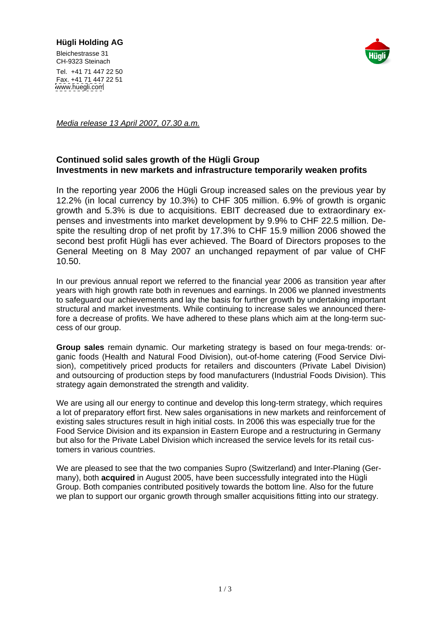## **Hügli Holding AG**

Bleichestrasse 31 and 2008 and 2008 and 2008 and 2008 and 2008 and 2008 and 2008 and 2008 and 2008 and 2008 and 2008 and 2008 and 2008 and 2008 and 2008 and 2008 and 2008 and 2008 and 2008 and 2008 and 2008 and 2008 and 20 CH-9323 Steinach **Christian Christian Christian Christian Christian Christian Christian Christian Christian Christian Christian Christian Christian Christian Christian Christian Christian Christian Christian Christian Chri** 



Tel. +41 71 447 22 50 Fax. +41 71 447 22 51 [www.huegli.com](http://www.huegli.com)

Media release 13 April 2007, 07.30 a.m.

## **Continued solid sales growth of the Hügli Group Investments in new markets and infrastructure temporarily weaken profits**

In the reporting year 2006 the Hügli Group increased sales on the previous year by 12.2% (in local currency by 10.3%) to CHF 305 million. 6.9% of growth is organic growth and 5.3% is due to acquisitions. EBIT decreased due to extraordinary expenses and investments into market development by 9.9% to CHF 22.5 million. Despite the resulting drop of net profit by 17.3% to CHF 15.9 million 2006 showed the second best profit Hügli has ever achieved. The Board of Directors proposes to the General Meeting on 8 May 2007 an unchanged repayment of par value of CHF 10.50.

In our previous annual report we referred to the financial year 2006 as transition year after years with high growth rate both in revenues and earnings. In 2006 we planned investments to safeguard our achievements and lay the basis for further growth by undertaking important structural and market investments. While continuing to increase sales we announced therefore a decrease of profits. We have adhered to these plans which aim at the long-term success of our group.

**Group sales** remain dynamic. Our marketing strategy is based on four mega-trends: organic foods (Health and Natural Food Division), out-of-home catering (Food Service Division), competitively priced products for retailers and discounters (Private Label Division) and outsourcing of production steps by food manufacturers (Industrial Foods Division). This strategy again demonstrated the strength and validity.

We are using all our energy to continue and develop this long-term strategy, which requires a lot of preparatory effort first. New sales organisations in new markets and reinforcement of existing sales structures result in high initial costs. In 2006 this was especially true for the Food Service Division and its expansion in Eastern Europe and a restructuring in Germany but also for the Private Label Division which increased the service levels for its retail customers in various countries.

We are pleased to see that the two companies Supro (Switzerland) and Inter-Planing (Germany), both **acquired** in August 2005, have been successfully integrated into the Hügli Group. Both companies contributed positively towards the bottom line. Also for the future we plan to support our organic growth through smaller acquisitions fitting into our strategy.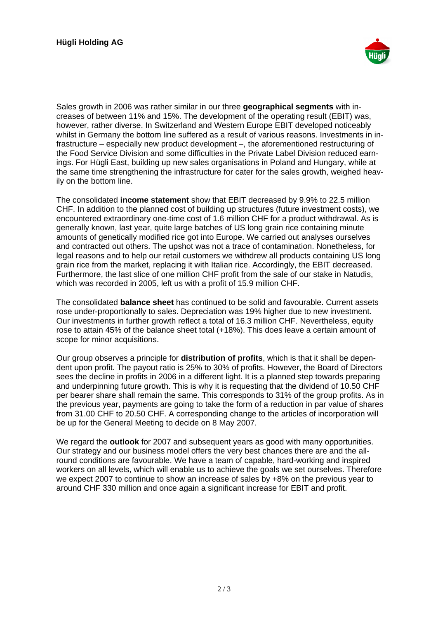

Sales growth in 2006 was rather similar in our three **geographical segments** with increases of between 11% and 15%. The development of the operating result (EBIT) was, however, rather diverse. In Switzerland and Western Europe EBIT developed noticeably whilst in Germany the bottom line suffered as a result of various reasons. Investments in infrastructure – especially new product development –, the aforementioned restructuring of the Food Service Division and some difficulties in the Private Label Division reduced earnings. For Hügli East, building up new sales organisations in Poland and Hungary, while at the same time strengthening the infrastructure for cater for the sales growth, weighed heavily on the bottom line.

The consolidated **income statement** show that EBIT decreased by 9.9% to 22.5 million CHF. In addition to the planned cost of building up structures (future investment costs), we encountered extraordinary one-time cost of 1.6 million CHF for a product withdrawal. As is generally known, last year, quite large batches of US long grain rice containing minute amounts of genetically modified rice got into Europe. We carried out analyses ourselves and contracted out others. The upshot was not a trace of contamination. Nonetheless, for legal reasons and to help our retail customers we withdrew all products containing US long grain rice from the market, replacing it with Italian rice. Accordingly, the EBIT decreased. Furthermore, the last slice of one million CHF profit from the sale of our stake in Natudis, which was recorded in 2005, left us with a profit of 15.9 million CHF.

The consolidated **balance sheet** has continued to be solid and favourable. Current assets rose under-proportionally to sales. Depreciation was 19% higher due to new investment. Our investments in further growth reflect a total of 16.3 million CHF. Nevertheless, equity rose to attain 45% of the balance sheet total (+18%). This does leave a certain amount of scope for minor acquisitions.

Our group observes a principle for **distribution of profits**, which is that it shall be depen dent upon profit. The payout ratio is 25% to 30% of profits. However, the Board of Directors sees the decline in profits in 2006 in a different light. It is a planned step towards preparing and underpinning future growth. This is why it is requesting that the dividend of 10.50 CHF per bearer share shall remain the same. This corresponds to 31% of the group profits. As in the previous year, payments are going to take the form of a reduction in par value of shares from 31.00 CHF to 20.50 CHF. A corresponding change to the articles of incorporation will be up for the General Meeting to decide on 8 May 2007.

We regard the **outlook** for 2007 and subsequent years as good with many opportunities. Our strategy and our business model offers the very best chances there are and the allround conditions are favourable. We have a team of capable, hard-working and inspired workers on all levels, which will enable us to achieve the goals we set ourselves. Therefore we expect 2007 to continue to show an increase of sales by  $+8\%$  on the previous year to around CHF 330 million and once again a significant increase for EBIT and profit.